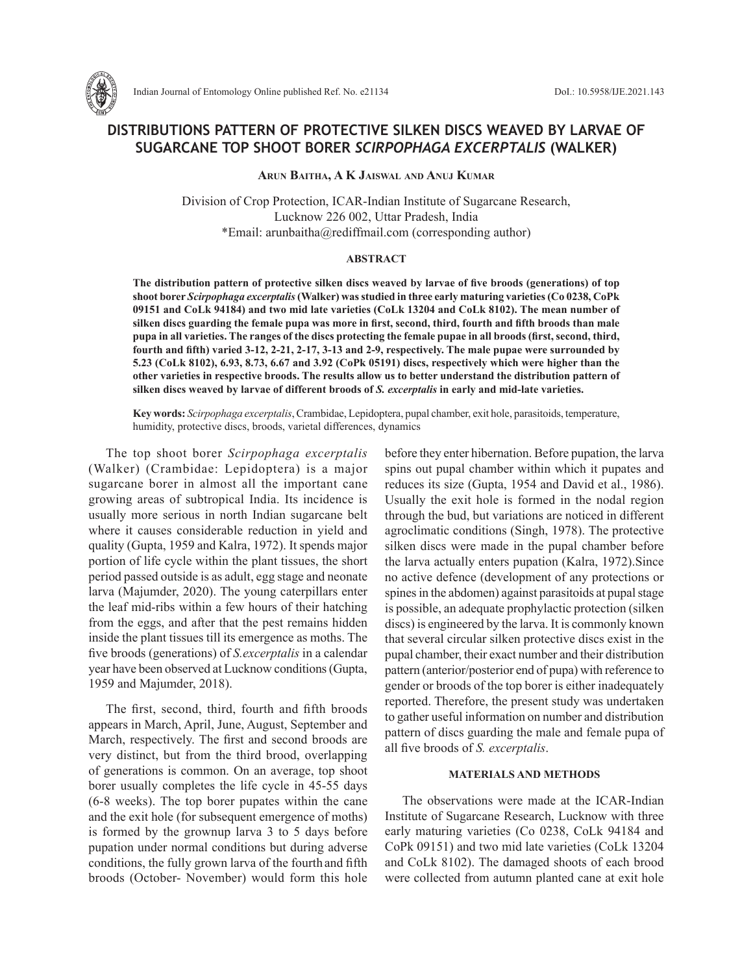

Indian Journal of Entomology Online published Ref. No. e21134 DoI.: 10.5958/IJE.2021.143

# **DISTRIBUTIONS PATTERN OF PROTECTIVE SILKEN DISCS WEAVED BY LARVAE OF SUGARCANE TOP SHOOT BORER** *SCIRPOPHAGA EXCERPTALIS* **(WALKER)**

**Arun Baitha, A K Jaiswal and Anuj Kumar**

Division of Crop Protection, ICAR-Indian Institute of Sugarcane Research, Lucknow 226 002, Uttar Pradesh, India \*Email: arunbaitha@rediffmail.com (corresponding author)

## **ABSTRACT**

**The distribution pattern of protective silken discs weaved by larvae of five broods (generations) of top shoot borer** *Scirpophaga excerptalis* **(Walker) was studied in three early maturing varieties (Co 0238, CoPk 09151 and CoLk 94184) and two mid late varieties (CoLk 13204 and CoLk 8102). The mean number of silken discs guarding the female pupa was more in first, second, third, fourth and fifth broods than male pupa in all varieties. The ranges of the discs protecting the female pupae in all broods (first, second, third, fourth and fifth) varied 3-12, 2-21, 2-17, 3-13 and 2-9, respectively. The male pupae were surrounded by 5.23 (CoLk 8102), 6.93, 8.73, 6.67 and 3.92 (CoPk 05191) discs, respectively which were higher than the other varieties in respective broods. The results allow us to better understand the distribution pattern of silken discs weaved by larvae of different broods of** *S. excerptalis* **in early and mid-late varieties.** 

**Key words:** *Scirpophaga excerptalis*, Crambidae, Lepidoptera, pupal chamber, exit hole, parasitoids, temperature, humidity, protective discs, broods, varietal differences, dynamics

The top shoot borer *Scirpophaga excerptalis* (Walker) (Crambidae: Lepidoptera) is a major sugarcane borer in almost all the important cane growing areas of subtropical India. Its incidence is usually more serious in north Indian sugarcane belt where it causes considerable reduction in yield and quality (Gupta, 1959 and Kalra, 1972). It spends major portion of life cycle within the plant tissues, the short period passed outside is as adult, egg stage and neonate larva (Majumder, 2020). The young caterpillars enter the leaf mid-ribs within a few hours of their hatching from the eggs, and after that the pest remains hidden inside the plant tissues till its emergence as moths. The five broods (generations) of *S.excerptalis* in a calendar year have been observed at Lucknow conditions (Gupta, 1959 and Majumder, 2018).

The first, second, third, fourth and fifth broods appears in March, April, June, August, September and March, respectively. The first and second broods are very distinct, but from the third brood, overlapping of generations is common. On an average, top shoot borer usually completes the life cycle in 45-55 days (6-8 weeks). The top borer pupates within the cane and the exit hole (for subsequent emergence of moths) is formed by the grownup larva 3 to 5 days before pupation under normal conditions but during adverse conditions, the fully grown larva of the fourth and fifth broods (October- November) would form this hole before they enter hibernation. Before pupation, the larva spins out pupal chamber within which it pupates and reduces its size (Gupta, 1954 and David et al., 1986). Usually the exit hole is formed in the nodal region through the bud, but variations are noticed in different agroclimatic conditions (Singh, 1978). The protective silken discs were made in the pupal chamber before the larva actually enters pupation (Kalra, 1972).Since no active defence (development of any protections or spines in the abdomen) against parasitoids at pupal stage is possible, an adequate prophylactic protection (silken discs) is engineered by the larva. It is commonly known that several circular silken protective discs exist in the pupal chamber, their exact number and their distribution pattern (anterior/posterior end of pupa) with reference to gender or broods of the top borer is either inadequately reported. Therefore, the present study was undertaken to gather useful information on number and distribution pattern of discs guarding the male and female pupa of all five broods of *S. excerptalis*.

# **MATERIALS AND METHODS**

The observations were made at the ICAR-Indian Institute of Sugarcane Research, Lucknow with three early maturing varieties (Co 0238, CoLk 94184 and CoPk 09151) and two mid late varieties (CoLk 13204 and CoLk 8102). The damaged shoots of each brood were collected from autumn planted cane at exit hole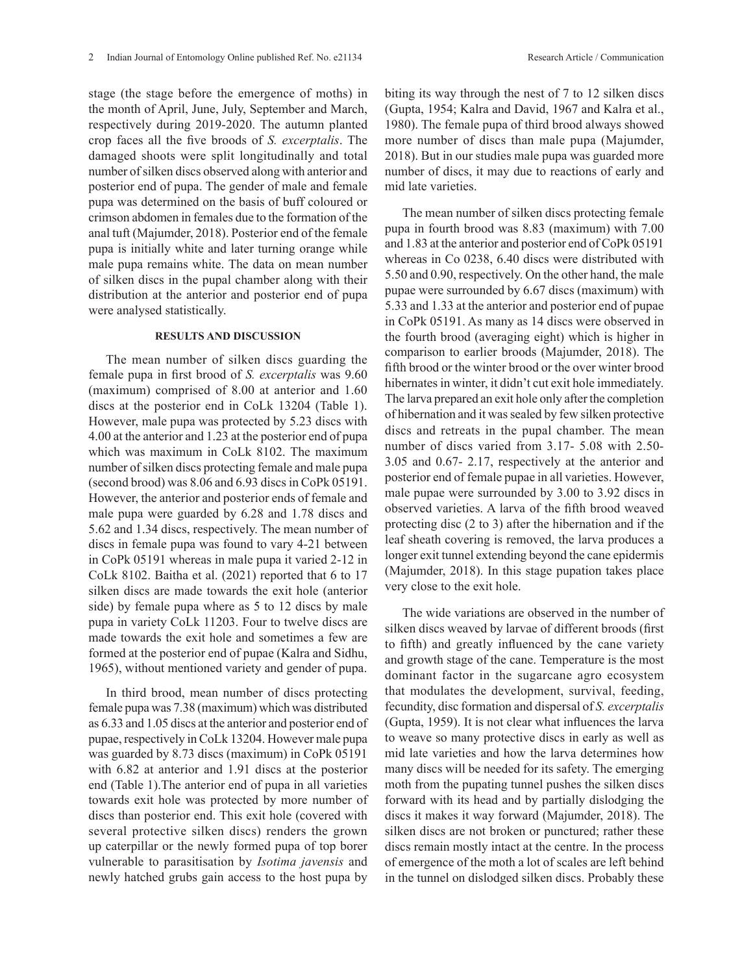stage (the stage before the emergence of moths) in the month of April, June, July, September and March, respectively during 2019-2020. The autumn planted crop faces all the five broods of *S. excerptalis*. The damaged shoots were split longitudinally and total number of silken discs observed along with anterior and posterior end of pupa. The gender of male and female pupa was determined on the basis of buff coloured or crimson abdomen in females due to the formation of the anal tuft (Majumder, 2018). Posterior end of the female pupa is initially white and later turning orange while male pupa remains white. The data on mean number of silken discs in the pupal chamber along with their distribution at the anterior and posterior end of pupa were analysed statistically.

### **RESULTS AND DISCUSSION**

The mean number of silken discs guarding the female pupa in first brood of *S. excerptalis* was 9.60 (maximum) comprised of 8.00 at anterior and 1.60 discs at the posterior end in CoLk 13204 (Table 1). However, male pupa was protected by 5.23 discs with 4.00 at the anterior and 1.23 at the posterior end of pupa which was maximum in CoLk 8102. The maximum number of silken discs protecting female and male pupa (second brood) was 8.06 and 6.93 discs in CoPk 05191. However, the anterior and posterior ends of female and male pupa were guarded by 6.28 and 1.78 discs and 5.62 and 1.34 discs, respectively. The mean number of discs in female pupa was found to vary 4-21 between in CoPk 05191 whereas in male pupa it varied 2-12 in CoLk 8102. Baitha et al. (2021) reported that 6 to 17 silken discs are made towards the exit hole (anterior side) by female pupa where as 5 to 12 discs by male pupa in variety CoLk 11203. Four to twelve discs are made towards the exit hole and sometimes a few are formed at the posterior end of pupae (Kalra and Sidhu, 1965), without mentioned variety and gender of pupa.

In third brood, mean number of discs protecting female pupa was 7.38 (maximum) which was distributed as 6.33 and 1.05 discs at the anterior and posterior end of pupae, respectively in CoLk 13204. However male pupa was guarded by 8.73 discs (maximum) in CoPk 05191 with 6.82 at anterior and 1.91 discs at the posterior end (Table 1).The anterior end of pupa in all varieties towards exit hole was protected by more number of discs than posterior end. This exit hole (covered with several protective silken discs) renders the grown up caterpillar or the newly formed pupa of top borer vulnerable to parasitisation by *Isotima javensis* and newly hatched grubs gain access to the host pupa by

biting its way through the nest of 7 to 12 silken discs (Gupta, 1954; Kalra and David, 1967 and Kalra et al., 1980). The female pupa of third brood always showed more number of discs than male pupa (Majumder, 2018). But in our studies male pupa was guarded more number of discs, it may due to reactions of early and mid late varieties.

The mean number of silken discs protecting female pupa in fourth brood was 8.83 (maximum) with 7.00 and 1.83 at the anterior and posterior end of CoPk 05191 whereas in Co 0238, 6.40 discs were distributed with 5.50 and 0.90, respectively. On the other hand, the male pupae were surrounded by 6.67 discs (maximum) with 5.33 and 1.33 at the anterior and posterior end of pupae in CoPk 05191. As many as 14 discs were observed in the fourth brood (averaging eight) which is higher in comparison to earlier broods (Majumder, 2018). The fifth brood or the winter brood or the over winter brood hibernates in winter, it didn't cut exit hole immediately. The larva prepared an exit hole only after the completion of hibernation and it was sealed by few silken protective discs and retreats in the pupal chamber. The mean number of discs varied from 3.17- 5.08 with 2.50- 3.05 and 0.67- 2.17, respectively at the anterior and posterior end of female pupae in all varieties. However, male pupae were surrounded by 3.00 to 3.92 discs in observed varieties. A larva of the fifth brood weaved protecting disc (2 to 3) after the hibernation and if the leaf sheath covering is removed, the larva produces a longer exit tunnel extending beyond the cane epidermis (Majumder, 2018). In this stage pupation takes place very close to the exit hole.

The wide variations are observed in the number of silken discs weaved by larvae of different broods (first to fifth) and greatly influenced by the cane variety and growth stage of the cane. Temperature is the most dominant factor in the sugarcane agro ecosystem that modulates the development, survival, feeding, fecundity, disc formation and dispersal of *S. excerptalis* (Gupta, 1959). It is not clear what influences the larva to weave so many protective discs in early as well as mid late varieties and how the larva determines how many discs will be needed for its safety. The emerging moth from the pupating tunnel pushes the silken discs forward with its head and by partially dislodging the discs it makes it way forward (Majumder, 2018). The silken discs are not broken or punctured; rather these discs remain mostly intact at the centre. In the process of emergence of the moth a lot of scales are left behind in the tunnel on dislodged silken discs. Probably these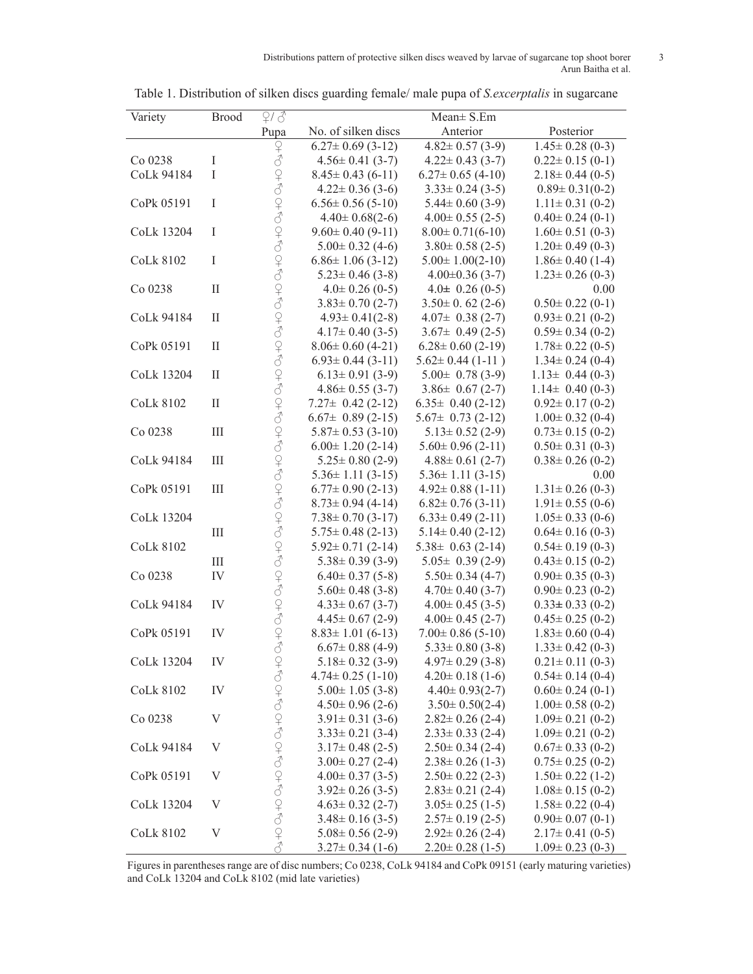#### Distributions pattern of protective silken discs weaved by larvae of sugarcane top shoot borer 3 Arun Baitha et al.

| Variety          | <b>Brood</b> | 2/3                                                                                       |                                                | Mean± S.Em                                     |                                                |
|------------------|--------------|-------------------------------------------------------------------------------------------|------------------------------------------------|------------------------------------------------|------------------------------------------------|
|                  |              | Pupa                                                                                      | No. of silken discs                            | Anterior                                       | Posterior                                      |
|                  |              |                                                                                           | $6.27 \pm 0.69$ (3-12)                         | $4.82 \pm 0.57$ (3-9)                          | $1.45 \pm 0.28$ (0-3)                          |
| Co 0238          | I            |                                                                                           | $4.56 \pm 0.41$ (3-7)                          | $4.22 \pm 0.43$ (3-7)                          | $0.22 \pm 0.15$ (0-1)                          |
| CoLk 94184       | I            |                                                                                           | $8.45 \pm 0.43$ (6-11)                         | $6.27 \pm 0.65$ (4-10)                         | $2.18 \pm 0.44$ (0-5)                          |
|                  |              |                                                                                           | $4.22 \pm 0.36$ (3-6)                          | $3.33 \pm 0.24$ (3-5)                          | $0.89 \pm 0.31(0-2)$                           |
| CoPk 05191       | I            |                                                                                           | $6.56 \pm 0.56$ (5-10)                         | $5.44 \pm 0.60$ (3-9)                          | $1.11 \pm 0.31$ (0-2)                          |
|                  |              |                                                                                           | $4.40 \pm 0.68(2-6)$                           | $4.00 \pm 0.55$ (2-5)                          | $0.40 \pm 0.24$ (0-1)                          |
| CoLk 13204       | I            |                                                                                           | $9.60 \pm 0.40$ (9-11)                         | $8.00 \pm 0.71(6 - 10)$                        | $1.60 \pm 0.51$ (0-3)                          |
|                  |              | 949949949                                                                                 | $5.00 \pm 0.32$ (4-6)                          | $3.80 \pm 0.58$ (2-5)                          | $1.20 \pm 0.49$ (0-3)                          |
| <b>CoLk 8102</b> | I            |                                                                                           | $6.86 \pm 1.06$ (3-12)                         | $5.00 \pm 1.00(2-10)$                          | $1.86 \pm 0.40$ (1-4)                          |
|                  |              |                                                                                           | $5.23 \pm 0.46$ (3-8)                          | $4.00\pm0.36(3-7)$                             | $1.23 \pm 0.26$ (0-3)                          |
| Co 0238          | $\mathbf{I}$ | 949949949                                                                                 | $4.0 \pm 0.26$ (0-5)                           | $4.0\pm 0.26(0-5)$                             | 0.00                                           |
|                  |              |                                                                                           | $3.83 \pm 0.70$ (2-7)                          | $3.50 \pm 0.62$ (2-6)                          | $0.50 \pm 0.22$ (0-1)                          |
| CoLk 94184       | $\mathbf{I}$ |                                                                                           | $4.93 \pm 0.41(2-8)$                           | $4.07\pm 0.38(2-7)$                            | $0.93 \pm 0.21$ (0-2)                          |
|                  |              |                                                                                           | $4.17 \pm 0.40$ (3-5)                          | $3.67 \pm 0.49$ (2-5)                          | $0.59 \pm 0.34$ (0-2)                          |
| CoPk 05191       | $\mathbf{I}$ |                                                                                           | $8.06 \pm 0.60$ (4-21)                         | $6.28 \pm 0.60$ (2-19)                         | $1.78 \pm 0.22$ (0-5)                          |
|                  |              |                                                                                           | $6.93 \pm 0.44$ (3-11)                         | $5.62 \pm 0.44$ (1-11)                         | $1.34 \pm 0.24$ (0-4)                          |
| CoLk 13204       | $\mathbf{I}$ |                                                                                           | $6.13 \pm 0.91$ (3-9)                          | $5.00 \pm 0.78$ (3-9)                          | $1.13 \pm 0.44$ (0-3)                          |
|                  |              | $\begin{array}{c} \n\textcircled{\tiny 1} \\ \n\textcircled{\tiny 2} \end{array}$         | $4.86 \pm 0.55$ (3-7)                          | $3.86 \pm 0.67$ (2-7)                          | $1.14 \pm 0.40(0-3)$                           |
| <b>CoLk 8102</b> | $\mathbf{I}$ | $\begin{array}{c} \n\text{ }\\ \n\text{ }\\ \n\text{ }\\ \n\text{ }\\ \n\end{array}$      | $7.27 \pm 0.42$ (2-12)                         | $6.35 \pm 0.40$ (2-12)                         | $0.92 \pm 0.17$ (0-2)                          |
|                  |              |                                                                                           | $6.67 \pm 0.89$ (2-15)                         | $5.67 \pm 0.73$ (2-12)                         | $1.00 \pm 0.32$ (0-4)                          |
| Co 0238          | Ш            | $\begin{array}{c} \n\text{Q} \\ \n\text{Q} \n\end{array}$                                 | $5.87 \pm 0.53$ (3-10)                         | $5.13 \pm 0.52$ (2-9)                          | $0.73 \pm 0.15$ (0-2)                          |
|                  |              |                                                                                           | $6.00 \pm 1.20$ (2-14)                         | $5.60 \pm 0.96$ (2-11)                         | $0.50 \pm 0.31$ (0-3)                          |
| CoLk 94184       | Ш            | 248                                                                                       | $5.25 \pm 0.80$ (2-9)                          | $4.88 \pm 0.61$ (2-7)                          | $0.38 \pm 0.26$ (0-2)                          |
|                  |              |                                                                                           | $5.36 \pm 1.11$ (3-15)                         | $5.36 \pm 1.11$ (3-15)                         | 0.00                                           |
| CoPk 05191       | Ш            |                                                                                           | $6.77 \pm 0.90$ (2-13)                         | $4.92 \pm 0.88$ (1-11)                         | $1.31 \pm 0.26$ (0-3)                          |
|                  |              |                                                                                           | $8.73 \pm 0.94$ (4-14)                         | $6.82 \pm 0.76$ (3-11)                         | $1.91 \pm 0.55$ (0-6)                          |
| CoLk 13204       |              | 24                                                                                        | $7.38 \pm 0.70$ (3-17)                         | $6.33 \pm 0.49$ (2-11)                         | $1.05 \pm 0.33$ (0-6)                          |
|                  | III          |                                                                                           | $5.75 \pm 0.48$ (2-13)                         | $5.14 \pm 0.40$ (2-12)                         | $0.64 \pm 0.16$ (0-3)                          |
| <b>CoLk 8102</b> |              | $\begin{array}{c} \n\text{ }\\ \n\text{ }\\ \n\text{ }\\ \n\end{array}$                   | $5.92 \pm 0.71$ (2-14)                         | $5.38 \pm 0.63$ (2-14)                         | $0.54 \pm 0.19$ (0-3)                          |
|                  | III          |                                                                                           | $5.38 \pm 0.39$ (3-9)                          | $5.05 \pm 0.39(2-9)$                           | $0.43 \pm 0.15$ (0-2)                          |
| Co 0238          | IV           | $\begin{array}{c} \n\curvearrowleft \\ \n\curvearrowleft \n\curvearrowleft \n\end{array}$ | $6.40 \pm 0.37$ (5-8)                          | $5.50 \pm 0.34$ (4-7)                          | $0.90 \pm 0.35(0-3)$                           |
|                  |              |                                                                                           | $5.60 \pm 0.48$ (3-8)                          | $4.70 \pm 0.40$ (3-7)                          | $0.90 \pm 0.23$ (0-2)                          |
| CoLk 94184       | IV           | 949949                                                                                    | $4.33 \pm 0.67$ (3-7)                          | $4.00 \pm 0.45$ (3-5)                          | $0.33 \pm 0.33$ (0-2)                          |
|                  |              |                                                                                           | $4.45 \pm 0.67$ (2-9)                          | $4.00 \pm 0.45$ (2-7)                          | $0.45 \pm 0.25$ (0-2)                          |
| CoPk 05191       | IV           |                                                                                           | $8.83 \pm 1.01$ (6-13)                         | $7.00 \pm 0.86$ (5-10)                         | $1.83 \pm 0.60$ (0-4)                          |
|                  |              |                                                                                           | $6.67 \pm 0.88$ (4-9)                          | $5.33 \pm 0.80$ (3-8)                          | $1.33 \pm 0.42$ (0-3)                          |
| CoLk 13204       | IV           |                                                                                           | $5.18 \pm 0.32$ (3-9)                          | $4.97 \pm 0.29$ (3-8)                          | $0.21 \pm 0.11$ (0-3)                          |
|                  |              |                                                                                           | $4.74 \pm 0.25$ (1-10)                         | $4.20 \pm 0.18$ (1-6)                          | $0.54 \pm 0.14$ (0-4)                          |
| <b>CoLk 8102</b> | IV           |                                                                                           | $5.00 \pm 1.05$ (3-8)                          | $4.40 \pm 0.93(2-7)$                           | $0.60 \pm 0.24$ (0-1)                          |
|                  |              |                                                                                           | $4.50 \pm 0.96$ (2-6)                          | $3.50 \pm 0.50(2-4)$                           | $1.00 \pm 0.58$ (0-2)                          |
| Co 0238          | V            |                                                                                           | $3.91 \pm 0.31$ (3-6)                          | $2.82 \pm 0.26$ (2-4)                          | $1.09 \pm 0.21$ (0-2)                          |
|                  |              |                                                                                           | $3.33 \pm 0.21$ (3-4)                          | $2.33 \pm 0.33$ (2-4)                          | $1.09 \pm 0.21$ (0-2)                          |
| CoLk 94184       | V            |                                                                                           | $3.17 \pm 0.48$ (2-5)                          | $2.50 \pm 0.34$ (2-4)                          | $0.67 \pm 0.33$ (0-2)                          |
|                  |              |                                                                                           | $3.00 \pm 0.27$ (2-4)                          | $2.38 \pm 0.26$ (1-3)                          | $0.75 \pm 0.25$ (0-2)                          |
| CoPk 05191       | V            |                                                                                           | $4.00 \pm 0.37$ (3-5)                          | $2.50 \pm 0.22$ (2-3)                          | $1.50 \pm 0.22$ (1-2)                          |
|                  |              |                                                                                           | $3.92 \pm 0.26$ (3-5)                          | $2.83 \pm 0.21$ (2-4)                          | $1.08 \pm 0.15(0-2)$                           |
| CoLk 13204       | V            |                                                                                           | $4.63 \pm 0.32$ (2-7)                          | $3.05 \pm 0.25$ (1-5)                          | $1.58 \pm 0.22$ (0-4)                          |
| <b>CoLk 8102</b> | V            |                                                                                           | $3.48 \pm 0.16$ (3-5)<br>$5.08 \pm 0.56$ (2-9) | $2.57 \pm 0.19$ (2-5)<br>$2.92 \pm 0.26$ (2-4) | $0.90 \pm 0.07$ (0-1)<br>$2.17 \pm 0.41$ (0-5) |
|                  |              | そうそうそうそうそうそう                                                                              | $3.27 \pm 0.34$ (1-6)                          | $2.20 \pm 0.28$ (1-5)                          | $1.09 \pm 0.23$ (0-3)                          |
|                  |              |                                                                                           |                                                |                                                |                                                |

Table 1. Distribution of silken discs guarding female/ male pupa of *S.excerptalis* in sugarcane

Figures in parentheses range are of disc numbers; Co 0238, CoLk 94184 and CoPk 09151 (early maturing varieties) and CoLk 13204 and CoLk 8102 (mid late varieties)